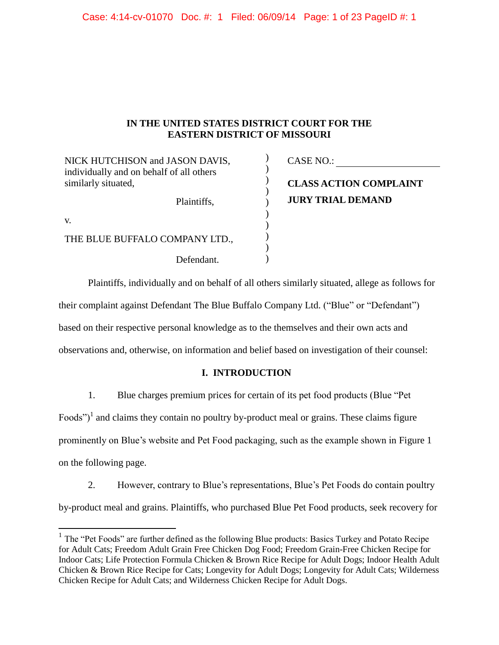## **IN THE UNITED STATES DISTRICT COURT FOR THE EASTERN DISTRICT OF MISSOURI**

| NICK HUTCHISON and JASON DAVIS,                                 | CASE NO.:                     |
|-----------------------------------------------------------------|-------------------------------|
| individually and on behalf of all others<br>similarly situated, | <b>CLASS ACTION COMPLAINT</b> |
| Plaintiffs,                                                     | <b>JURY TRIAL DEMAND</b>      |
| V.                                                              |                               |
| THE BLUE BUFFALO COMPANY LTD.,                                  |                               |
| Defendant.                                                      |                               |

Plaintiffs, individually and on behalf of all others similarly situated, allege as follows for their complaint against Defendant The Blue Buffalo Company Ltd. ("Blue" or "Defendant") based on their respective personal knowledge as to the themselves and their own acts and observations and, otherwise, on information and belief based on investigation of their counsel:

## **I. INTRODUCTION**

1. Blue charges premium prices for certain of its pet food products (Blue "Pet

Foods")<sup>1</sup> and claims they contain no poultry by-product meal or grains. These claims figure

prominently on Blue's website and Pet Food packaging, such as the example shown in [Figure 1](#page-1-0)

on the following page.

 $\overline{a}$ 

2. However, contrary to Blue's representations, Blue's Pet Foods do contain poultry by-product meal and grains. Plaintiffs, who purchased Blue Pet Food products, seek recovery for

 $<sup>1</sup>$  The "Pet Foods" are further defined as the following Blue products: Basics Turkey and Potato Recipe</sup> for Adult Cats; Freedom Adult Grain Free Chicken Dog Food; Freedom Grain-Free Chicken Recipe for Indoor Cats; Life Protection Formula Chicken & Brown Rice Recipe for Adult Dogs; Indoor Health Adult Chicken & Brown Rice Recipe for Cats; Longevity for Adult Dogs; Longevity for Adult Cats; Wilderness Chicken Recipe for Adult Cats; and Wilderness Chicken Recipe for Adult Dogs.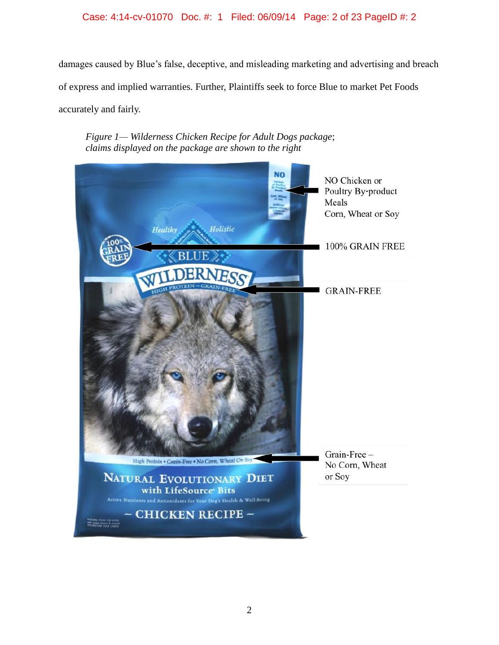## Case: 4:14-cv-01070 Doc. #: 1 Filed: 06/09/14 Page: 2 of 23 PageID #: 2

damages caused by Blue's false, deceptive, and misleading marketing and advertising and breach of express and implied warranties. Further, Plaintiffs seek to force Blue to market Pet Foods accurately and fairly.

*Figure 1— Wilderness Chicken Recipe for Adult Dogs package*; *claims displayed on the package are shown to the right*

<span id="page-1-0"></span>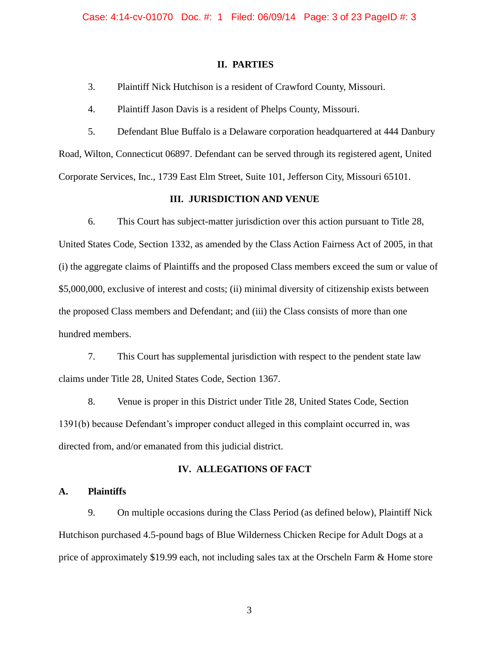#### **II. PARTIES**

3. Plaintiff Nick Hutchison is a resident of Crawford County, Missouri.

4. Plaintiff Jason Davis is a resident of Phelps County, Missouri.

5. Defendant Blue Buffalo is a Delaware corporation headquartered at 444 Danbury Road, Wilton, Connecticut 06897. Defendant can be served through its registered agent, United Corporate Services, Inc., 1739 East Elm Street, Suite 101, Jefferson City, Missouri 65101.

### **III. JURISDICTION AND VENUE**

6. This Court has subject-matter jurisdiction over this action pursuant to Title 28, United States Code, Section 1332, as amended by the Class Action Fairness Act of 2005, in that (i) the aggregate claims of Plaintiffs and the proposed Class members exceed the sum or value of \$5,000,000, exclusive of interest and costs; (ii) minimal diversity of citizenship exists between the proposed Class members and Defendant; and (iii) the Class consists of more than one hundred members.

7. This Court has supplemental jurisdiction with respect to the pendent state law claims under Title 28, United States Code, Section 1367.

8. Venue is proper in this District under Title 28, United States Code, Section 1391(b) because Defendant's improper conduct alleged in this complaint occurred in, was directed from, and/or emanated from this judicial district.

#### **IV. ALLEGATIONS OF FACT**

**A. Plaintiffs**

9. On multiple occasions during the Class Period (as defined below), Plaintiff Nick Hutchison purchased 4.5-pound bags of Blue Wilderness Chicken Recipe for Adult Dogs at a price of approximately \$19.99 each, not including sales tax at the Orscheln Farm & Home store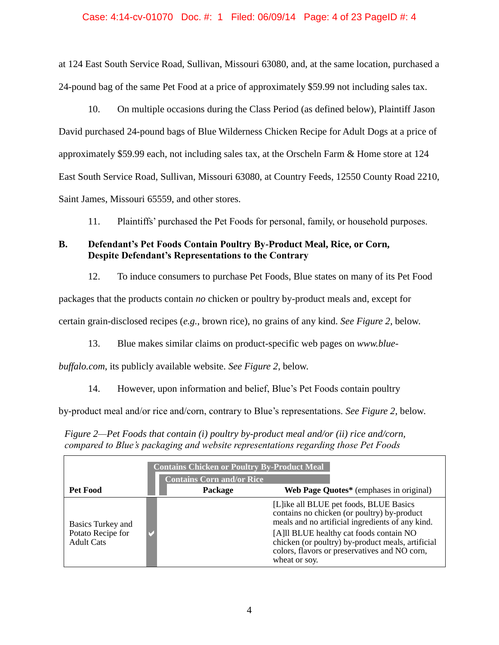### Case: 4:14-cv-01070 Doc. #: 1 Filed: 06/09/14 Page: 4 of 23 PageID #: 4

at 124 East South Service Road, Sullivan, Missouri 63080, and, at the same location, purchased a 24-pound bag of the same Pet Food at a price of approximately \$59.99 not including sales tax.

10. On multiple occasions during the Class Period (as defined below), Plaintiff Jason David purchased 24-pound bags of Blue Wilderness Chicken Recipe for Adult Dogs at a price of approximately \$59.99 each, not including sales tax, at the Orscheln Farm & Home store at 124 East South Service Road, Sullivan, Missouri 63080, at Country Feeds, 12550 County Road 2210, Saint James, Missouri 65559, and other stores.

11. Plaintiffs' purchased the Pet Foods for personal, family, or household purposes.

# **B. Defendant's Pet Foods Contain Poultry By-Product Meal, Rice, or Corn, Despite Defendant's Representations to the Contrary**

12. To induce consumers to purchase Pet Foods, Blue states on many of its Pet Food

packages that the products contain *no* chicken or poultry by-product meals and, except for

certain grain-disclosed recipes (*e.g.*, brown rice), no grains of any kind. *See [Figure 2](#page-3-0)*, below.

13. Blue makes similar claims on product-specific web pages on *www.blue-*

*buffalo.com*, its publicly available website. *See Figure 2*, below.

14. However, upon information and belief, Blue's Pet Foods contain poultry

by-product meal and/or rice and/corn, contrary to Blue's representations. *See Figure 2*, below.

<span id="page-3-0"></span>*Figure 2—Pet Foods that contain (i) poultry by-product meal and/or (ii) rice and/corn, compared to Blue's packaging and website representations regarding those Pet Foods*

| <b>Contains Chicken or Poultry By-Product Meal</b><br><b>Contains Corn and/or Rice</b> |         |                                                                                                                                                                                                                                                                                                               |  |  |
|----------------------------------------------------------------------------------------|---------|---------------------------------------------------------------------------------------------------------------------------------------------------------------------------------------------------------------------------------------------------------------------------------------------------------------|--|--|
| Pet Food                                                                               | Package | Web Page Quotes* (emphases in original)                                                                                                                                                                                                                                                                       |  |  |
| <b>Basics Turkey and</b><br>Potato Recipe for<br><b>Adult Cats</b>                     |         | [L] ike all BLUE pet foods, BLUE Basics<br>contains no chicken (or poultry) by-product<br>meals and no artificial ingredients of any kind.<br>[A] Il BLUE healthy cat foods contain NO<br>chicken (or poultry) by-product meals, artificial<br>colors, flavors or preservatives and NO corn,<br>wheat or soy. |  |  |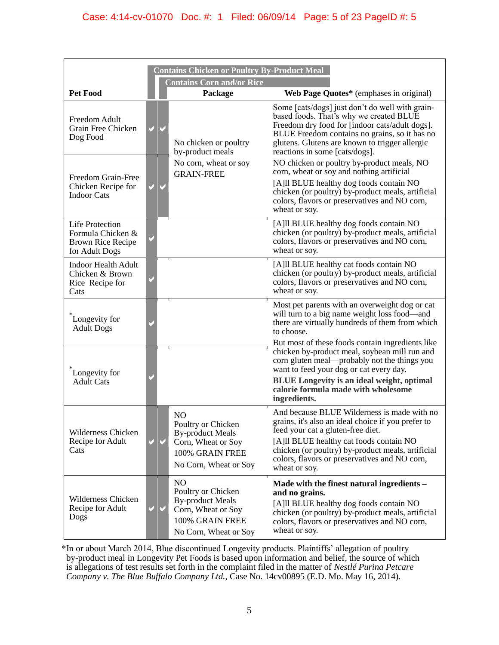| <b>Contains Chicken or Poultry By-Product Meal</b>                                        |  |                                                                                                                                   |                                                                                                                                                                                                                                                                                                           |  |  |
|-------------------------------------------------------------------------------------------|--|-----------------------------------------------------------------------------------------------------------------------------------|-----------------------------------------------------------------------------------------------------------------------------------------------------------------------------------------------------------------------------------------------------------------------------------------------------------|--|--|
| Pet Food                                                                                  |  | <b>Contains Corn and/or Rice</b><br>Package                                                                                       | Web Page Quotes* (emphases in original)                                                                                                                                                                                                                                                                   |  |  |
| Freedom Adult<br>Grain Free Chicken<br>Dog Food                                           |  | No chicken or poultry<br>by-product meals                                                                                         | Some [cats/dogs] just don't do well with grain-<br>based foods. That's why we created BLUE<br>Freedom dry food for [indoor cats/adult dogs].<br>BLUE Freedom contains no grains, so it has no<br>glutens. Glutens are known to trigger allergic<br>reactions in some [cats/dogs].                         |  |  |
| Freedom Grain-Free<br>Chicken Recipe for<br><b>Indoor Cats</b>                            |  | No corn, wheat or soy<br><b>GRAIN-FREE</b>                                                                                        | NO chicken or poultry by-product meals, NO<br>corn, wheat or soy and nothing artificial<br>[A]ll BLUE healthy dog foods contain NO<br>chicken (or poultry) by-product meals, artificial<br>colors, flavors or preservatives and NO corn,<br>wheat or soy.                                                 |  |  |
| <b>Life Protection</b><br>Formula Chicken &<br><b>Brown Rice Recipe</b><br>for Adult Dogs |  |                                                                                                                                   | [A]ll BLUE healthy dog foods contain NO<br>chicken (or poultry) by-product meals, artificial<br>colors, flavors or preservatives and NO corn,<br>wheat or soy.                                                                                                                                            |  |  |
| <b>Indoor Health Adult</b><br>Chicken & Brown<br>Rice Recipe for<br>Cats                  |  |                                                                                                                                   | [A] Il BLUE healthy cat foods contain NO<br>chicken (or poultry) by-product meals, artificial<br>colors, flavors or preservatives and NO corn,<br>wheat or soy.                                                                                                                                           |  |  |
| Longevity for<br><b>Adult Dogs</b>                                                        |  |                                                                                                                                   | Most pet parents with an overweight dog or cat<br>will turn to a big name weight loss food—and<br>there are virtually hundreds of them from which<br>to choose.                                                                                                                                           |  |  |
| Longevity for<br><b>Adult Cats</b>                                                        |  |                                                                                                                                   | But most of these foods contain ingredients like<br>chicken by-product meal, soybean mill run and<br>corn gluten meal—probably not the things you<br>want to feed your dog or cat every day.<br><b>BLUE</b> Longevity is an ideal weight, optimal                                                         |  |  |
|                                                                                           |  |                                                                                                                                   | calorie formula made with wholesome<br>ingredients.                                                                                                                                                                                                                                                       |  |  |
| <b>Wilderness Chicken</b><br>Recipe for Adult<br>Cats                                     |  | N <sub>O</sub><br>Poultry or Chicken<br><b>By-product Meals</b><br>Corn, Wheat or Soy<br>100% GRAIN FREE<br>No Corn, Wheat or Soy | And because BLUE Wilderness is made with no<br>grains, it's also an ideal choice if you prefer to<br>feed your cat a gluten-free diet.<br>[A] Il BLUE healthy cat foods contain NO<br>chicken (or poultry) by-product meals, artificial<br>colors, flavors or preservatives and NO corn,<br>wheat or soy. |  |  |
| <b>Wilderness Chicken</b><br>Recipe for Adult<br>Dogs                                     |  | N <sub>O</sub><br>Poultry or Chicken<br><b>By-product Meals</b><br>Corn, Wheat or Soy<br>100% GRAIN FREE<br>No Corn, Wheat or Soy | Made with the finest natural ingredients -<br>and no grains.<br>[A]ll BLUE healthy dog foods contain NO<br>chicken (or poultry) by-product meals, artificial<br>colors, flavors or preservatives and NO corn,<br>wheat or soy.                                                                            |  |  |

\*In or about March 2014, Blue discontinued Longevity products. Plaintiffs' allegation of poultry by-product meal in Longevity Pet Foods is based upon information and belief, the source of which is allegations of test results set forth in the complaint filed in the matter of *Nestlé Purina Petcare Company v. The Blue Buffalo Company Ltd.*, Case No. 14cv00895 (E.D. Mo. May 16, 2014).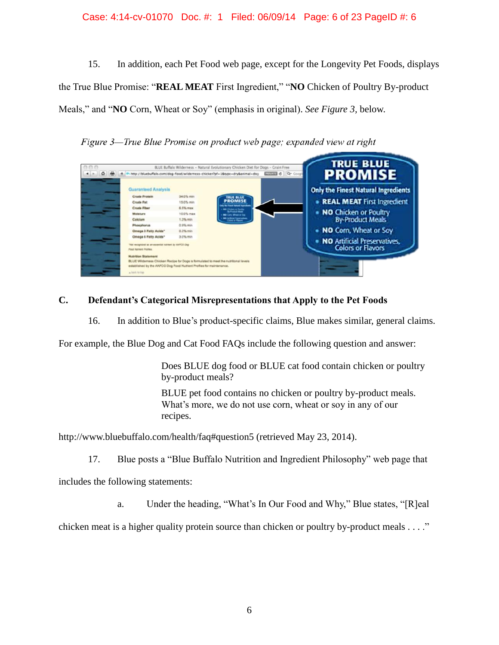### Case: 4:14-cv-01070 Doc. #: 1 Filed: 06/09/14 Page: 6 of 23 PageID #: 6

15. In addition, each Pet Food web page, except for the Longevity Pet Foods, displays the True Blue Promise: "**REAL MEAT** First Ingredient," "**NO** Chicken of Poultry By-product Meals," and "**NO** Corn, Wheat or Soy" (emphasis in original). *See Figure 3,* below.

Figure 3—True Blue Promise on product web page; expanded view at right

| 000<br>$\Phi$ |                                                                                     |           | BLUE Buffalo Wilderness - Natural Evolutionary Chicken Diet for Dogs - Grain Free<br>P- http://bluebuffalo.com/dog-food/widerness-chicken?pf=1&type=dry&animal=dog | <b>LAWING</b> Qr Coop | <b>TRUE BLUE</b>                    |
|---------------|-------------------------------------------------------------------------------------|-----------|--------------------------------------------------------------------------------------------------------------------------------------------------------------------|-----------------------|-------------------------------------|
|               |                                                                                     |           |                                                                                                                                                                    |                       | <b>PROMISE</b>                      |
|               | Guaranteed Analysis                                                                 |           |                                                                                                                                                                    |                       | Only the Finest Natural Ingredients |
|               | <b>Crude Protein</b>                                                                | 34.0% was | <b>TRUE BLUE</b>                                                                                                                                                   |                       |                                     |
|               | <b>Crude Pat</b>                                                                    | 15.0% min | <b>PROMISE</b>                                                                                                                                                     |                       | • REAL MEAT First Ingredient        |
|               | <b>Crude Fiber</b>                                                                  | 6.5% max  | <b>Travel Walkers' Associate</b><br><b>Services</b>                                                                                                                |                       |                                     |
|               | Microsture                                                                          | 10.0% max | <b>NG</b> Cam, Wheat or Tex                                                                                                                                        |                       | . NO Chicken or Poultry             |
|               | Calclum                                                                             | 1.3% min. | <b>Mit Artikal Travelation</b>                                                                                                                                     |                       | By-Product Meals                    |
|               | Phoephonus                                                                          | 0.9% min. |                                                                                                                                                                    |                       |                                     |
|               | Omega 3 Fatty Acids*                                                                | 0.3% min. |                                                                                                                                                                    |                       | . NO Corn, Wheat or Soy             |
|               | Omega 6 Fatty Acids*                                                                | 3.0% min  |                                                                                                                                                                    |                       |                                     |
|               | WO COVA At trainius telescon ne se tecniquism (NV)                                  |           |                                                                                                                                                                    |                       | . NO Artificial Preservatives,      |
|               | Food Nutrient Profiles:                                                             |           |                                                                                                                                                                    |                       | <b>Colors or Flavors</b>            |
|               | <b>Multi-Itline</b> , Starte-Huend                                                  |           |                                                                                                                                                                    |                       |                                     |
| --            | BLUE Wildemass Chicken Recipe for Dogs is formulated to meet the nutritional levels |           |                                                                                                                                                                    |                       |                                     |
|               | established by the AAFCO Dog Food Nutrient Profiles for maintenance.                |           |                                                                                                                                                                    |                       |                                     |
|               | a back to tree                                                                      |           |                                                                                                                                                                    |                       |                                     |

# **C. Defendant's Categorical Misrepresentations that Apply to the Pet Foods**

16. In addition to Blue's product-specific claims, Blue makes similar, general claims.

For example, the Blue Dog and Cat Food FAQs include the following question and answer:

Does BLUE dog food or BLUE cat food contain chicken or poultry by-product meals?

BLUE pet food contains no chicken or poultry by-product meals. What's more, we do not use corn, wheat or soy in any of our recipes.

http://www.bluebuffalo.com/health/faq#question5 (retrieved May 23, 2014).

17. Blue posts a "Blue Buffalo Nutrition and Ingredient Philosophy" web page that

includes the following statements:

a. Under the heading, "What's In Our Food and Why," Blue states, "[R]eal

chicken meat is a higher quality protein source than chicken or poultry by-product meals  $\dots$ ."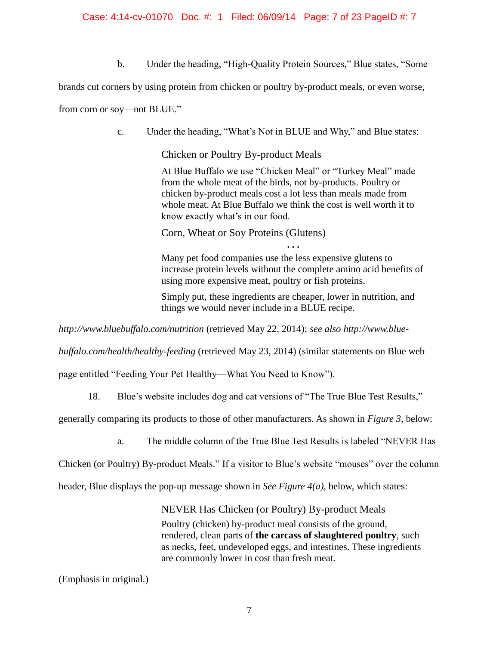### Case: 4:14-cv-01070 Doc. #: 1 Filed: 06/09/14 Page: 7 of 23 PageID #: 7

b. Under the heading, "High-Quality Protein Sources," Blue states, "Some

brands cut corners by using protein from chicken or poultry by-product meals, or even worse,

from corn or soy—not BLUE."

c. Under the heading, "What's Not in BLUE and Why," and Blue states:

Chicken or Poultry By-product Meals

At Blue Buffalo we use "Chicken Meal" or "Turkey Meal" made from the whole meat of the birds, not by-products. Poultry or chicken by-product meals cost a lot less than meals made from whole meat. At Blue Buffalo we think the cost is well worth it to know exactly what's in our food.

Corn, Wheat or Soy Proteins (Glutens)

Many pet food companies use the less expensive glutens to increase protein levels without the complete amino acid benefits of using more expensive meat, poultry or fish proteins.

**. . .**

Simply put, these ingredients are cheaper, lower in nutrition, and things we would never include in a BLUE recipe.

*http://www.bluebuffalo.com/nutrition* (retrieved May 22, 2014); *see also http://www.blue-*

*buffalo.com/health/healthy-feeding* (retrieved May 23, 2014) (similar statements on Blue web

page entitled "Feeding Your Pet Healthy—What You Need to Know").

18. Blue's website includes dog and cat versions of "The True Blue Test Results,"

generally comparing its products to those of other manufacturers. As shown in *Figure 3*, below:

a. The middle column of the True Blue Test Results is labeled "NEVER Has

Chicken (or Poultry) By-product Meals." If a visitor to Blue's website "mouses" over the column

header, Blue displays the pop-up message shown in *See Figure 4(a)*, below, which states:

NEVER Has Chicken (or Poultry) By-product Meals

Poultry (chicken) by-product meal consists of the ground, rendered, clean parts of **the carcass of slaughtered poultry**, such as necks, feet, undeveloped eggs, and intestines. These ingredients are commonly lower in cost than fresh meat.

(Emphasis in original.)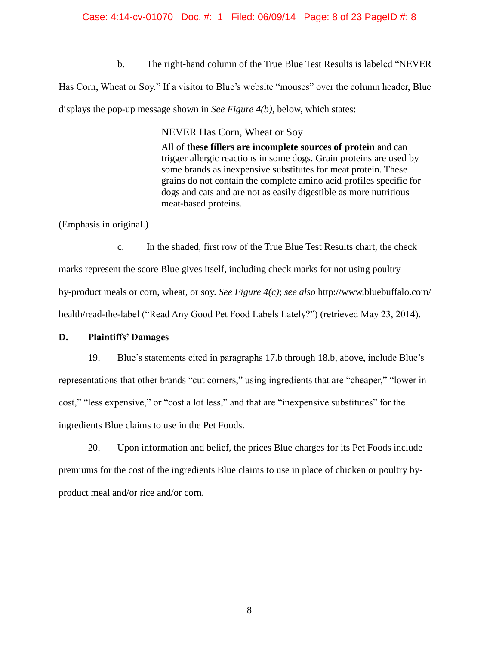### Case: 4:14-cv-01070 Doc. #: 1 Filed: 06/09/14 Page: 8 of 23 PageID #: 8

b. The right-hand column of the True Blue Test Results is labeled "NEVER

Has Corn, Wheat or Soy." If a visitor to Blue's website "mouses" over the column header, Blue displays the pop-up message shown in *See Figure 4(b)*, below, which states:

NEVER Has Corn, Wheat or Soy

All of **these fillers are incomplete sources of protein** and can trigger allergic reactions in some dogs. Grain proteins are used by some brands as inexpensive substitutes for meat protein. These grains do not contain the complete amino acid profiles specific for dogs and cats and are not as easily digestible as more nutritious meat-based proteins.

(Emphasis in original.)

c. In the shaded, first row of the True Blue Test Results chart, the check marks represent the score Blue gives itself, including check marks for not using poultry by-product meals or corn, wheat, or soy. *See Figure 4(c)*; *see also* http://www.bluebuffalo.com/ health/read-the-label ("Read Any Good Pet Food Labels Lately?") (retrieved May 23, 2014).

### **D. Plaintiffs' Damages**

19. Blue's statements cited in paragraphs 17.b through 18.b, above, include Blue's representations that other brands "cut corners," using ingredients that are "cheaper," "lower in cost," "less expensive," or "cost a lot less," and that are "inexpensive substitutes" for the ingredients Blue claims to use in the Pet Foods.

20. Upon information and belief, the prices Blue charges for its Pet Foods include premiums for the cost of the ingredients Blue claims to use in place of chicken or poultry byproduct meal and/or rice and/or corn.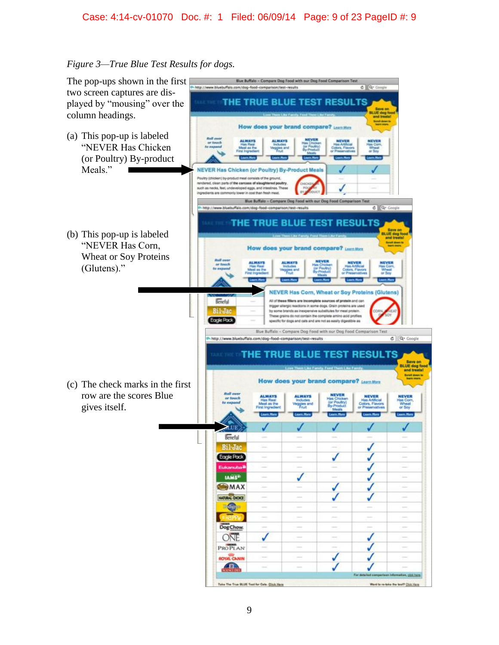## Case: 4:14-cv-01070 Doc. #: 1 Filed: 06/09/14 Page: 9 of 23 PageID #: 9

## *Figure 3—True Blue Test Results for dogs.*

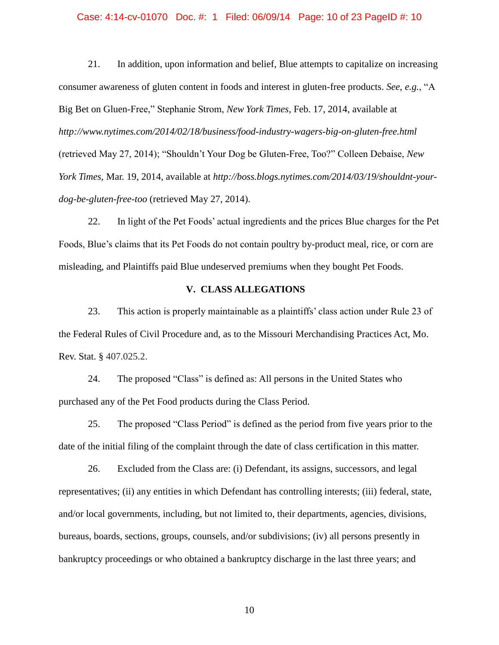#### Case: 4:14-cv-01070 Doc. #: 1 Filed: 06/09/14 Page: 10 of 23 PageID #: 10

21. In addition, upon information and belief, Blue attempts to capitalize on increasing consumer awareness of gluten content in foods and interest in gluten-free products. *See*, *e.g.*, "A Big Bet on Gluen-Free," Stephanie Strom, *New York Times*, Feb. 17, 2014, available at *http://www.nytimes.com/2014/02/18/business/food-industry-wagers-big-on-gluten-free.html*  (retrieved May 27, 2014); "Shouldn't Your Dog be Gluten-Free, Too?" Colleen Debaise, *New York Times*, Mar. 19, 2014, available at *http://boss.blogs.nytimes.com/2014/03/19/shouldnt-yourdog-be-gluten-free-too* (retrieved May 27, 2014).

22. In light of the Pet Foods' actual ingredients and the prices Blue charges for the Pet Foods, Blue's claims that its Pet Foods do not contain poultry by-product meal, rice, or corn are misleading, and Plaintiffs paid Blue undeserved premiums when they bought Pet Foods.

### **V. CLASS ALLEGATIONS**

23. This action is properly maintainable as a plaintiffs' class action under Rule 23 of the Federal Rules of Civil Procedure and, as to the Missouri Merchandising Practices Act, Mo. Rev. Stat. § 407.025.2.

24. The proposed "Class" is defined as: All persons in the United States who purchased any of the Pet Food products during the Class Period.

25. The proposed "Class Period" is defined as the period from five years prior to the date of the initial filing of the complaint through the date of class certification in this matter.

26. Excluded from the Class are: (i) Defendant, its assigns, successors, and legal representatives; (ii) any entities in which Defendant has controlling interests; (iii) federal, state, and/or local governments, including, but not limited to, their departments, agencies, divisions, bureaus, boards, sections, groups, counsels, and/or subdivisions; (iv) all persons presently in bankruptcy proceedings or who obtained a bankruptcy discharge in the last three years; and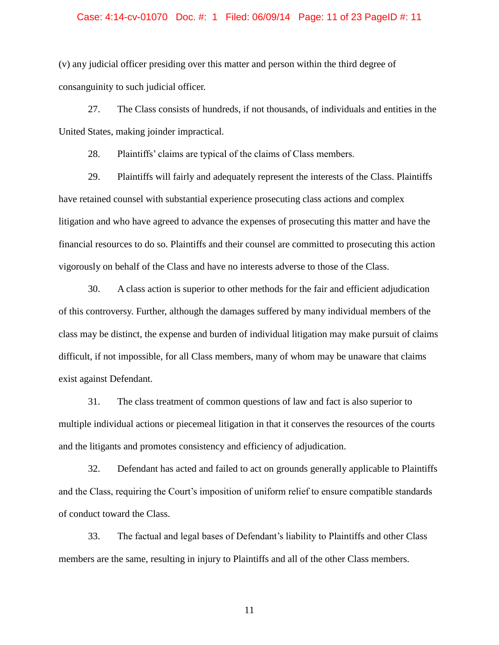#### Case: 4:14-cv-01070 Doc. #: 1 Filed: 06/09/14 Page: 11 of 23 PageID #: 11

(v) any judicial officer presiding over this matter and person within the third degree of consanguinity to such judicial officer.

27. The Class consists of hundreds, if not thousands, of individuals and entities in the United States, making joinder impractical.

28. Plaintiffs' claims are typical of the claims of Class members.

29. Plaintiffs will fairly and adequately represent the interests of the Class. Plaintiffs have retained counsel with substantial experience prosecuting class actions and complex litigation and who have agreed to advance the expenses of prosecuting this matter and have the financial resources to do so. Plaintiffs and their counsel are committed to prosecuting this action vigorously on behalf of the Class and have no interests adverse to those of the Class.

30. A class action is superior to other methods for the fair and efficient adjudication of this controversy. Further, although the damages suffered by many individual members of the class may be distinct, the expense and burden of individual litigation may make pursuit of claims difficult, if not impossible, for all Class members, many of whom may be unaware that claims exist against Defendant.

31. The class treatment of common questions of law and fact is also superior to multiple individual actions or piecemeal litigation in that it conserves the resources of the courts and the litigants and promotes consistency and efficiency of adjudication.

32. Defendant has acted and failed to act on grounds generally applicable to Plaintiffs and the Class, requiring the Court's imposition of uniform relief to ensure compatible standards of conduct toward the Class.

33. The factual and legal bases of Defendant's liability to Plaintiffs and other Class members are the same, resulting in injury to Plaintiffs and all of the other Class members.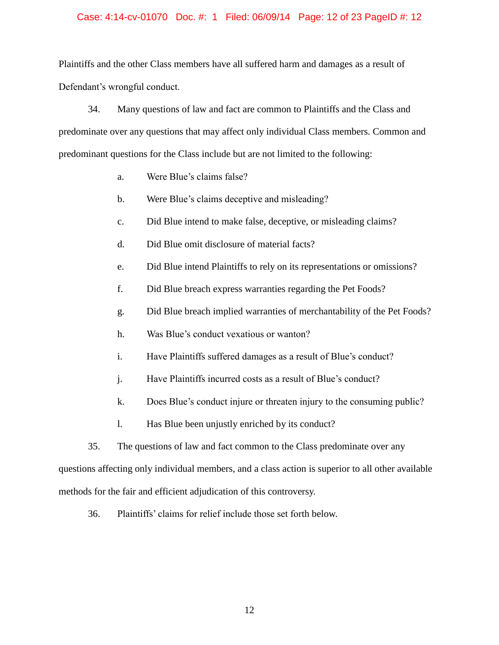### Case: 4:14-cv-01070 Doc. #: 1 Filed: 06/09/14 Page: 12 of 23 PageID #: 12

Plaintiffs and the other Class members have all suffered harm and damages as a result of Defendant's wrongful conduct.

34. Many questions of law and fact are common to Plaintiffs and the Class and predominate over any questions that may affect only individual Class members. Common and predominant questions for the Class include but are not limited to the following:

- a. Were Blue's claims false?
- b. Were Blue's claims deceptive and misleading?
- c. Did Blue intend to make false, deceptive, or misleading claims?
- d. Did Blue omit disclosure of material facts?
- e. Did Blue intend Plaintiffs to rely on its representations or omissions?
- f. Did Blue breach express warranties regarding the Pet Foods?
- g. Did Blue breach implied warranties of merchantability of the Pet Foods?
- h. Was Blue's conduct vexatious or wanton?
- i. Have Plaintiffs suffered damages as a result of Blue's conduct?
- j. Have Plaintiffs incurred costs as a result of Blue's conduct?
- k. Does Blue's conduct injure or threaten injury to the consuming public?
- l. Has Blue been unjustly enriched by its conduct?

35. The questions of law and fact common to the Class predominate over any questions affecting only individual members, and a class action is superior to all other available methods for the fair and efficient adjudication of this controversy.

36. Plaintiffs' claims for relief include those set forth below.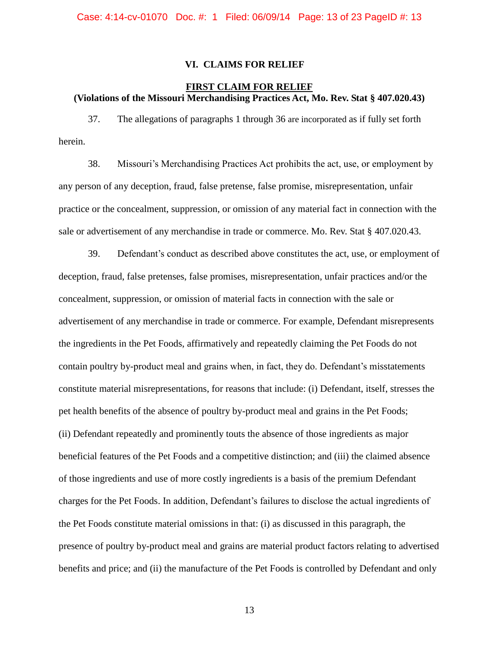### **VI. CLAIMS FOR RELIEF**

## **FIRST CLAIM FOR RELIEF (Violations of the Missouri Merchandising Practices Act, Mo. Rev. Stat § 407.020.43)**

37. The allegations of paragraphs 1 through 36 are incorporated as if fully set forth herein.

38. Missouri's Merchandising Practices Act prohibits the act, use, or employment by any person of any deception, fraud, false pretense, false promise, misrepresentation, unfair practice or the concealment, suppression, or omission of any material fact in connection with the sale or advertisement of any merchandise in trade or commerce. Mo. Rev. Stat § 407.020.43.

39. Defendant's conduct as described above constitutes the act, use, or employment of deception, fraud, false pretenses, false promises, misrepresentation, unfair practices and/or the concealment, suppression, or omission of material facts in connection with the sale or advertisement of any merchandise in trade or commerce. For example, Defendant misrepresents the ingredients in the Pet Foods, affirmatively and repeatedly claiming the Pet Foods do not contain poultry by-product meal and grains when, in fact, they do. Defendant's misstatements constitute material misrepresentations, for reasons that include: (i) Defendant, itself, stresses the pet health benefits of the absence of poultry by-product meal and grains in the Pet Foods; (ii) Defendant repeatedly and prominently touts the absence of those ingredients as major beneficial features of the Pet Foods and a competitive distinction; and (iii) the claimed absence of those ingredients and use of more costly ingredients is a basis of the premium Defendant charges for the Pet Foods. In addition, Defendant's failures to disclose the actual ingredients of the Pet Foods constitute material omissions in that: (i) as discussed in this paragraph, the presence of poultry by-product meal and grains are material product factors relating to advertised benefits and price; and (ii) the manufacture of the Pet Foods is controlled by Defendant and only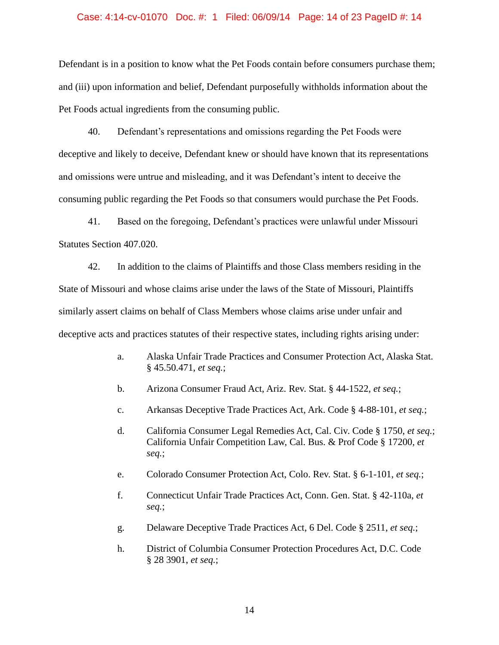#### Case: 4:14-cv-01070 Doc. #: 1 Filed: 06/09/14 Page: 14 of 23 PageID #: 14

Defendant is in a position to know what the Pet Foods contain before consumers purchase them; and (iii) upon information and belief, Defendant purposefully withholds information about the Pet Foods actual ingredients from the consuming public.

40. Defendant's representations and omissions regarding the Pet Foods were deceptive and likely to deceive, Defendant knew or should have known that its representations and omissions were untrue and misleading, and it was Defendant's intent to deceive the consuming public regarding the Pet Foods so that consumers would purchase the Pet Foods.

41. Based on the foregoing, Defendant's practices were unlawful under Missouri Statutes Section 407.020.

42. In addition to the claims of Plaintiffs and those Class members residing in the State of Missouri and whose claims arise under the laws of the State of Missouri, Plaintiffs similarly assert claims on behalf of Class Members whose claims arise under unfair and deceptive acts and practices statutes of their respective states, including rights arising under:

- a. Alaska Unfair Trade Practices and Consumer Protection Act, Alaska Stat. § 45.50.471, *et seq.*;
- b. Arizona Consumer Fraud Act, Ariz. Rev. Stat. § 44-1522, *et seq.*;
- c. Arkansas Deceptive Trade Practices Act, Ark. Code § 4-88-101, *et seq.*;
- d. California Consumer Legal Remedies Act, Cal. Civ. Code § 1750, *et seq.*; California Unfair Competition Law, Cal. Bus. & Prof Code § 17200, *et seq.*;
- e. Colorado Consumer Protection Act, Colo. Rev. Stat. § 6-1-101, *et seq.*;
- f. Connecticut Unfair Trade Practices Act, Conn. Gen. Stat. § 42-110a, *et seq.*;
- g. Delaware Deceptive Trade Practices Act, 6 Del. Code § 2511, *et seq.*;
- h. District of Columbia Consumer Protection Procedures Act, D.C. Code § 28 3901, *et seq.*;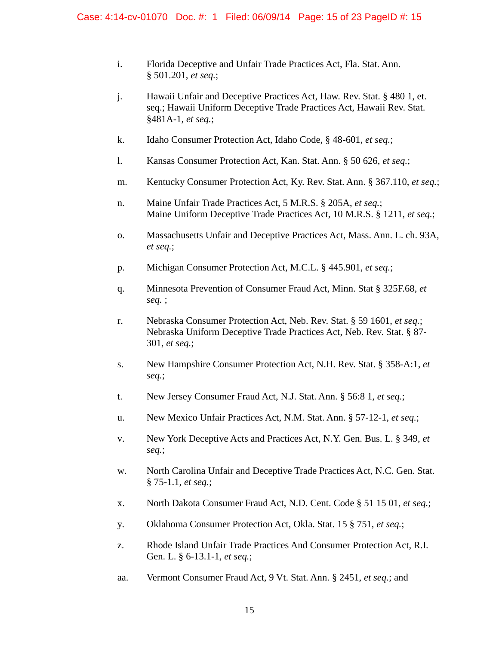- i. Florida Deceptive and Unfair Trade Practices Act, Fla. Stat. Ann. § 501.201, *et seq.*;
- j. Hawaii Unfair and Deceptive Practices Act, Haw. Rev. Stat. § 480 1, et. seq.; Hawaii Uniform Deceptive Trade Practices Act, Hawaii Rev. Stat. §481A-1, *et seq.*;
- k. Idaho Consumer Protection Act, Idaho Code, § 48-601, *et seq.*;
- l. Kansas Consumer Protection Act, Kan. Stat. Ann. § 50 626, *et seq.*;
- m. Kentucky Consumer Protection Act, Ky. Rev. Stat. Ann. § 367.110, *et seq.*;
- n. Maine Unfair Trade Practices Act, 5 M.R.S. § 205A, *et seq.*; Maine Uniform Deceptive Trade Practices Act, 10 M.R.S. § 1211, *et seq.*;
- o. Massachusetts Unfair and Deceptive Practices Act, Mass. Ann. L. ch. 93A, *et seq.*;
- p. Michigan Consumer Protection Act, M.C.L. § 445.901, *et seq.*;
- q. Minnesota Prevention of Consumer Fraud Act, Minn. Stat § 325F.68, *et seq.* ;
- r. Nebraska Consumer Protection Act, Neb. Rev. Stat. § 59 1601, *et seq.*; Nebraska Uniform Deceptive Trade Practices Act, Neb. Rev. Stat. § 87- 301, *et seq.*;
- s. New Hampshire Consumer Protection Act, N.H. Rev. Stat. § 358-A:1, *et seq.*;
- t. New Jersey Consumer Fraud Act, N.J. Stat. Ann. § 56:8 1, *et seq.*;
- u. New Mexico Unfair Practices Act, N.M. Stat. Ann. § 57-12-1, *et seq.*;
- v. New York Deceptive Acts and Practices Act, N.Y. Gen. Bus. L. § 349, *et seq.*;
- w. North Carolina Unfair and Deceptive Trade Practices Act, N.C. Gen. Stat. § 75-1.1, *et seq.*;
- x. North Dakota Consumer Fraud Act, N.D. Cent. Code § 51 15 01, *et seq.*;
- y. Oklahoma Consumer Protection Act, Okla. Stat. 15 § 751, *et seq.*;
- z. Rhode Island Unfair Trade Practices And Consumer Protection Act, R.I. Gen. L. § 6-13.1-1, *et seq.*;
- aa. Vermont Consumer Fraud Act, 9 Vt. Stat. Ann. § 2451, *et seq.*; and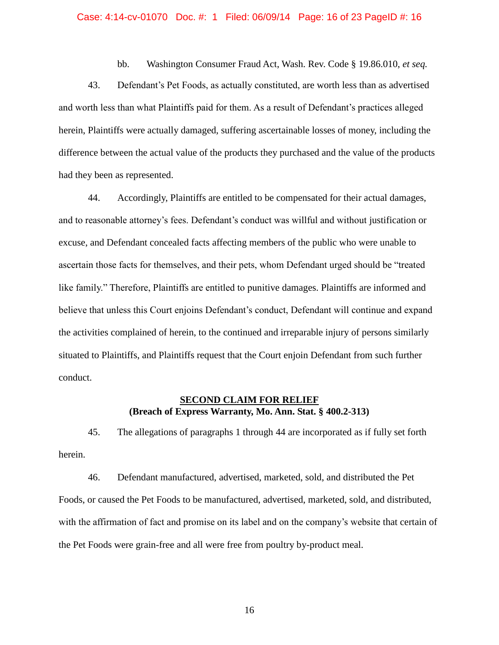#### Case: 4:14-cv-01070 Doc. #: 1 Filed: 06/09/14 Page: 16 of 23 PageID #: 16

bb. Washington Consumer Fraud Act, Wash. Rev. Code § 19.86.010, *et seq.*

43. Defendant's Pet Foods, as actually constituted, are worth less than as advertised and worth less than what Plaintiffs paid for them. As a result of Defendant's practices alleged herein, Plaintiffs were actually damaged, suffering ascertainable losses of money, including the difference between the actual value of the products they purchased and the value of the products had they been as represented.

44. Accordingly, Plaintiffs are entitled to be compensated for their actual damages, and to reasonable attorney's fees. Defendant's conduct was willful and without justification or excuse, and Defendant concealed facts affecting members of the public who were unable to ascertain those facts for themselves, and their pets, whom Defendant urged should be "treated like family." Therefore, Plaintiffs are entitled to punitive damages. Plaintiffs are informed and believe that unless this Court enjoins Defendant's conduct, Defendant will continue and expand the activities complained of herein, to the continued and irreparable injury of persons similarly situated to Plaintiffs, and Plaintiffs request that the Court enjoin Defendant from such further conduct.

## **SECOND CLAIM FOR RELIEF (Breach of Express Warranty, Mo. Ann. Stat. § 400.2-313)**

45. The allegations of paragraphs 1 through 44 are incorporated as if fully set forth herein.

46. Defendant manufactured, advertised, marketed, sold, and distributed the Pet Foods, or caused the Pet Foods to be manufactured, advertised, marketed, sold, and distributed, with the affirmation of fact and promise on its label and on the company's website that certain of the Pet Foods were grain-free and all were free from poultry by-product meal.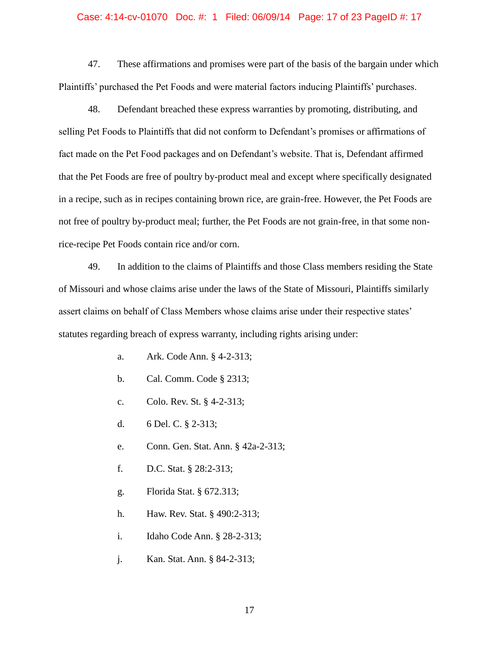#### Case: 4:14-cv-01070 Doc. #: 1 Filed: 06/09/14 Page: 17 of 23 PageID #: 17

47. These affirmations and promises were part of the basis of the bargain under which Plaintiffs' purchased the Pet Foods and were material factors inducing Plaintiffs' purchases.

48. Defendant breached these express warranties by promoting, distributing, and selling Pet Foods to Plaintiffs that did not conform to Defendant's promises or affirmations of fact made on the Pet Food packages and on Defendant's website. That is, Defendant affirmed that the Pet Foods are free of poultry by-product meal and except where specifically designated in a recipe, such as in recipes containing brown rice, are grain-free. However, the Pet Foods are not free of poultry by-product meal; further, the Pet Foods are not grain-free, in that some nonrice-recipe Pet Foods contain rice and/or corn.

49. In addition to the claims of Plaintiffs and those Class members residing the State of Missouri and whose claims arise under the laws of the State of Missouri, Plaintiffs similarly assert claims on behalf of Class Members whose claims arise under their respective states' statutes regarding breach of express warranty, including rights arising under:

- a. Ark. Code Ann. § 4-2-313;
- b. Cal. Comm. Code § 2313;
- c. Colo. Rev. St. § 4-2-313;
- d. 6 Del. C. § 2-313;
- e. Conn. Gen. Stat. Ann. § 42a-2-313;
- f. D.C. Stat. § 28:2-313;
- g. Florida Stat. § 672.313;
- h. Haw. Rev. Stat. § 490:2-313;
- i. Idaho Code Ann. § 28-2-313;
- j. Kan. Stat. Ann. § 84-2-313;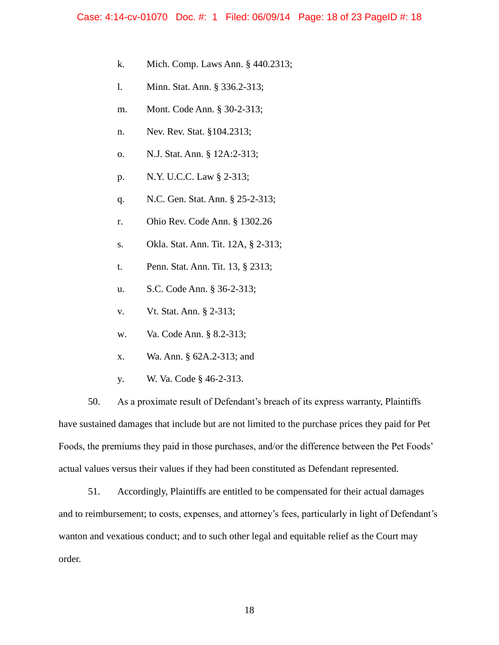- k. Mich. Comp. Laws Ann. § 440.2313;
- l. Minn. Stat. Ann. § 336.2-313;
- m. Mont. Code Ann. § 30-2-313;
- n. Nev. Rev. Stat. §104.2313;
- o. N.J. Stat. Ann. § 12A:2-313;
- p. N.Y. U.C.C. Law § 2-313;
- q. N.C. Gen. Stat. Ann. § 25-2-313;
- r. Ohio Rev. Code Ann. § 1302.26
- s. Okla. Stat. Ann. Tit. 12A, § 2-313;
- t. Penn. Stat. Ann. Tit. 13, § 2313;
- u. S.C. Code Ann. § 36-2-313;
- v. Vt. Stat. Ann. § 2-313;
- w. Va. Code Ann. § 8.2-313;
- x. Wa. Ann. § 62A.2-313; and
- y. W. Va. Code § 46-2-313.

50. As a proximate result of Defendant's breach of its express warranty, Plaintiffs have sustained damages that include but are not limited to the purchase prices they paid for Pet Foods, the premiums they paid in those purchases, and/or the difference between the Pet Foods' actual values versus their values if they had been constituted as Defendant represented.

51. Accordingly, Plaintiffs are entitled to be compensated for their actual damages and to reimbursement; to costs, expenses, and attorney's fees, particularly in light of Defendant's wanton and vexatious conduct; and to such other legal and equitable relief as the Court may order.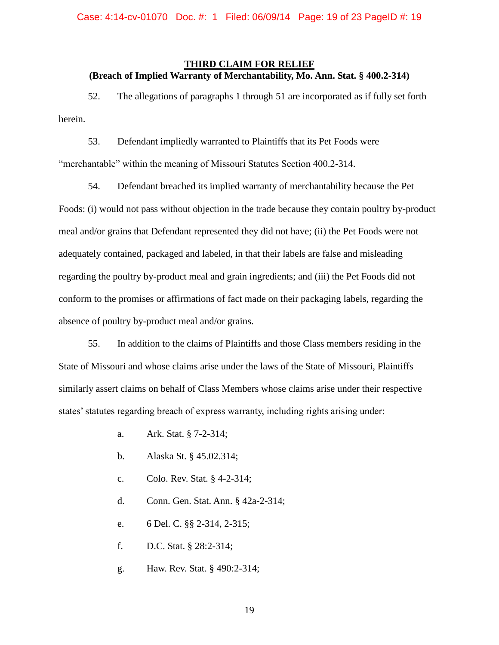## **THIRD CLAIM FOR RELIEF (Breach of Implied Warranty of Merchantability, Mo. Ann. Stat. § 400.2-314)**

52. The allegations of paragraphs 1 through 51 are incorporated as if fully set forth herein.

53. Defendant impliedly warranted to Plaintiffs that its Pet Foods were "merchantable" within the meaning of Missouri Statutes Section 400.2-314.

54. Defendant breached its implied warranty of merchantability because the Pet Foods: (i) would not pass without objection in the trade because they contain poultry by-product meal and/or grains that Defendant represented they did not have; (ii) the Pet Foods were not adequately contained, packaged and labeled, in that their labels are false and misleading regarding the poultry by-product meal and grain ingredients; and (iii) the Pet Foods did not conform to the promises or affirmations of fact made on their packaging labels, regarding the absence of poultry by-product meal and/or grains.

55. In addition to the claims of Plaintiffs and those Class members residing in the State of Missouri and whose claims arise under the laws of the State of Missouri, Plaintiffs similarly assert claims on behalf of Class Members whose claims arise under their respective states' statutes regarding breach of express warranty, including rights arising under:

- a. Ark. Stat. § 7-2-314;
- b. Alaska St. § 45.02.314;
- c. Colo. Rev. Stat. § 4-2-314;
- d. Conn. Gen. Stat. Ann. § 42a-2-314;
- e. 6 Del. C. §§ 2-314, 2-315;
- f. D.C. Stat. § 28:2-314;
- g. Haw. Rev. Stat. § 490:2-314;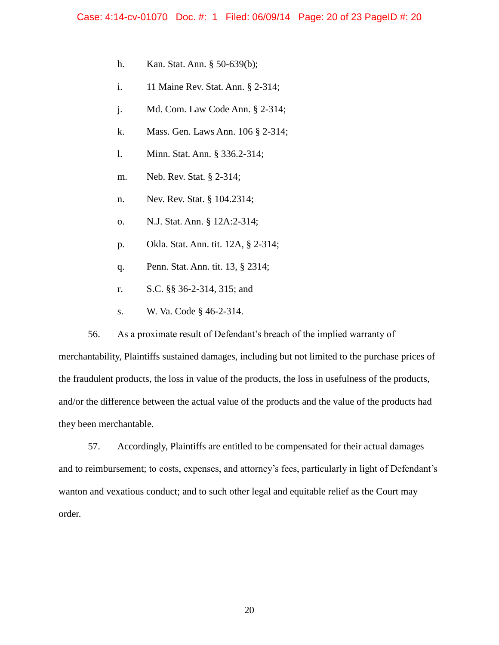- h. Kan. Stat. Ann. § 50-639(b);
- i. 11 Maine Rev. Stat. Ann. § 2-314;
- j. Md. Com. Law Code Ann. § 2-314;
- k. Mass. Gen. Laws Ann. 106 § 2-314;
- l. Minn. Stat. Ann. § 336.2-314;
- m. Neb. Rev. Stat. § 2-314;
- n. Nev. Rev. Stat. § 104.2314;
- o. N.J. Stat. Ann. § 12A:2-314;
- p. Okla. Stat. Ann. tit. 12A, § 2-314;
- q. Penn. Stat. Ann. tit. 13, § 2314;
- r. S.C. §§ 36-2-314, 315; and
- s. W. Va. Code § 46-2-314.

56. As a proximate result of Defendant's breach of the implied warranty of merchantability, Plaintiffs sustained damages, including but not limited to the purchase prices of the fraudulent products, the loss in value of the products, the loss in usefulness of the products, and/or the difference between the actual value of the products and the value of the products had they been merchantable.

57. Accordingly, Plaintiffs are entitled to be compensated for their actual damages and to reimbursement; to costs, expenses, and attorney's fees, particularly in light of Defendant's wanton and vexatious conduct; and to such other legal and equitable relief as the Court may order.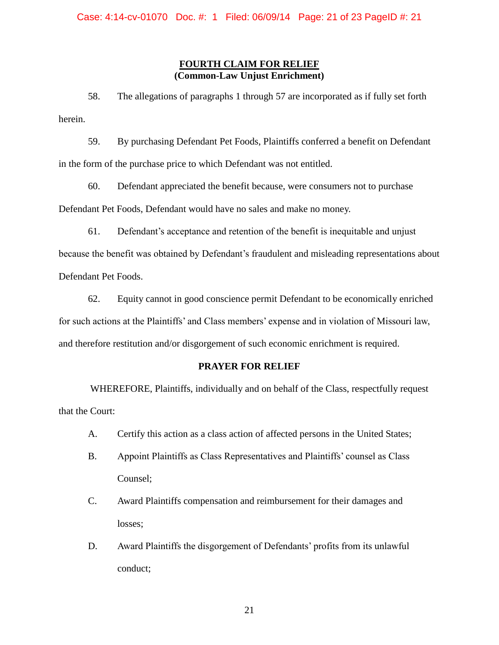## **FOURTH CLAIM FOR RELIEF (Common-Law Unjust Enrichment)**

58. The allegations of paragraphs 1 through 57 are incorporated as if fully set forth herein.

59. By purchasing Defendant Pet Foods, Plaintiffs conferred a benefit on Defendant in the form of the purchase price to which Defendant was not entitled.

60. Defendant appreciated the benefit because, were consumers not to purchase Defendant Pet Foods, Defendant would have no sales and make no money.

61. Defendant's acceptance and retention of the benefit is inequitable and unjust

because the benefit was obtained by Defendant's fraudulent and misleading representations about Defendant Pet Foods.

62. Equity cannot in good conscience permit Defendant to be economically enriched for such actions at the Plaintiffs' and Class members' expense and in violation of Missouri law, and therefore restitution and/or disgorgement of such economic enrichment is required.

## **PRAYER FOR RELIEF**

WHEREFORE, Plaintiffs, individually and on behalf of the Class, respectfully request that the Court:

- A. Certify this action as a class action of affected persons in the United States;
- B. Appoint Plaintiffs as Class Representatives and Plaintiffs' counsel as Class Counsel;
- C. Award Plaintiffs compensation and reimbursement for their damages and losses;
- D. Award Plaintiffs the disgorgement of Defendants' profits from its unlawful conduct;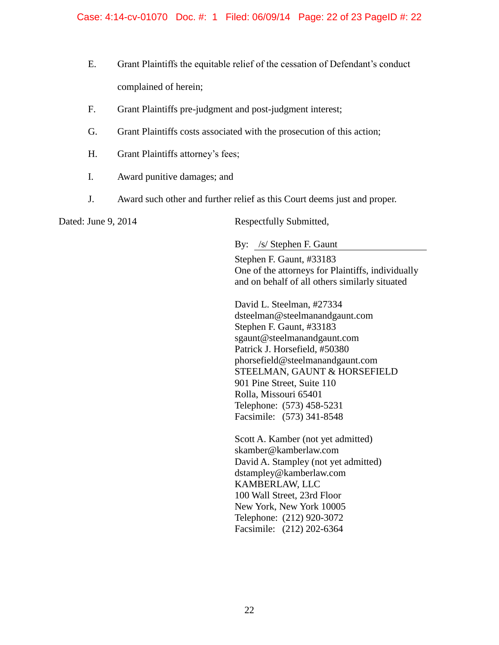- E. Grant Plaintiffs the equitable relief of the cessation of Defendant's conduct complained of herein;
- F. Grant Plaintiffs pre-judgment and post-judgment interest;
- G. Grant Plaintiffs costs associated with the prosecution of this action;
- H. Grant Plaintiffs attorney's fees;
- I. Award punitive damages; and
- J. Award such other and further relief as this Court deems just and proper.

Dated: June 9, 2014 Respectfully Submitted,

By: /s/ Stephen F. Gaunt

Stephen F. Gaunt, #33183 One of the attorneys for Plaintiffs, individually and on behalf of all others similarly situated

David L. Steelman, #27334 dsteelman@steelmanandgaunt.com Stephen F. Gaunt, #33183 sgaunt@steelmanandgaunt.com Patrick J. Horsefield, #50380 phorsefield@steelmanandgaunt.com STEELMAN, GAUNT & HORSEFIELD 901 Pine Street, Suite 110 Rolla, Missouri 65401 Telephone: (573) 458-5231 Facsimile: (573) 341-8548

Scott A. Kamber (not yet admitted) skamber@kamberlaw.com David A. Stampley (not yet admitted) dstampley@kamberlaw.com KAMBERLAW, LLC 100 Wall Street, 23rd Floor New York, New York 10005 Telephone: (212) 920-3072 Facsimile: (212) 202-6364